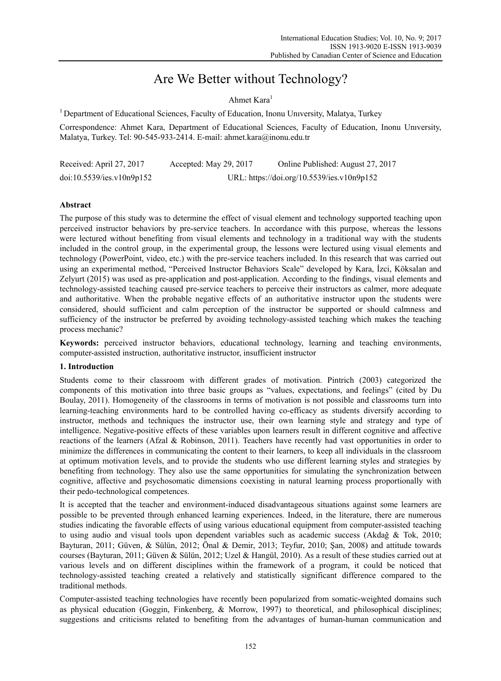# Are We Better without Technology?

Ahmet Kara<sup>1</sup>

<sup>1</sup> Department of Educational Sciences, Faculty of Education, Inonu University, Malatya, Turkey

Correspondence: Ahmet Kara, Department of Educational Sciences, Faculty of Education, Inonu Unıversity, Malatya, Turkey. Tel: 90-545-933-2414. E-mail: ahmet.kara@inonu.edu.tr

| Received: April 27, 2017  | Accepted: May $29, 2017$ | Online Published: August 27, 2017          |
|---------------------------|--------------------------|--------------------------------------------|
| doi:10.5539/ies.v10n9p152 |                          | URL: https://doi.org/10.5539/ies.v10n9p152 |

## **Abstract**

The purpose of this study was to determine the effect of visual element and technology supported teaching upon perceived instructor behaviors by pre-service teachers. In accordance with this purpose, whereas the lessons were lectured without benefiting from visual elements and technology in a traditional way with the students included in the control group, in the experimental group, the lessons were lectured using visual elements and technology (PowerPoint, video, etc.) with the pre-service teachers included. In this research that was carried out using an experimental method, "Perceived Instructor Behaviors Scale" developed by Kara, İzci, Köksalan and Zelyurt (2015) was used as pre-application and post-application. According to the findings, visual elements and technology-assisted teaching caused pre-service teachers to perceive their instructors as calmer, more adequate and authoritative. When the probable negative effects of an authoritative instructor upon the students were considered, should sufficient and calm perception of the instructor be supported or should calmness and sufficiency of the instructor be preferred by avoiding technology-assisted teaching which makes the teaching process mechanic?

**Keywords:** perceived instructor behaviors, educational technology, learning and teaching environments, computer-assisted instruction, authoritative instructor, insufficient instructor

## **1. Introduction**

Students come to their classroom with different grades of motivation. Pintrich (2003) categorized the components of this motivation into three basic groups as "values, expectations, and feelings" (cited by Du Boulay, 2011). Homogeneity of the classrooms in terms of motivation is not possible and classrooms turn into learning-teaching environments hard to be controlled having co-efficacy as students diversify according to instructor, methods and techniques the instructor use, their own learning style and strategy and type of intelligence. Negative-positive effects of these variables upon learners result in different cognitive and affective reactions of the learners (Afzal & Robinson, 2011). Teachers have recently had vast opportunities in order to minimize the differences in communicating the content to their learners, to keep all individuals in the classroom at optimum motivation levels, and to provide the students who use different learning styles and strategies by benefiting from technology. They also use the same opportunities for simulating the synchronization between cognitive, affective and psychosomatic dimensions coexisting in natural learning process proportionally with their pedo-technological competences.

It is accepted that the teacher and environment-induced disadvantageous situations against some learners are possible to be prevented through enhanced learning experiences. Indeed, in the literature, there are numerous studies indicating the favorable effects of using various educational equipment from computer-assisted teaching to using audio and visual tools upon dependent variables such as academic success (Akdağ & Tok, 2010; Bayturan, 2011; Güven, & Sülün, 2012; Önal & Demir, 2013; Teyfur, 2010; Şan, 2008) and attitude towards courses (Bayturan, 2011; Güven & Sülün, 2012; Uzel & Hangül, 2010). As a result of these studies carried out at various levels and on different disciplines within the framework of a program, it could be noticed that technology-assisted teaching created a relatively and statistically significant difference compared to the traditional methods.

Computer-assisted teaching technologies have recently been popularized from somatic-weighted domains such as physical education (Goggin, Finkenberg, & Morrow, 1997) to theoretical, and philosophical disciplines; suggestions and criticisms related to benefiting from the advantages of human-human communication and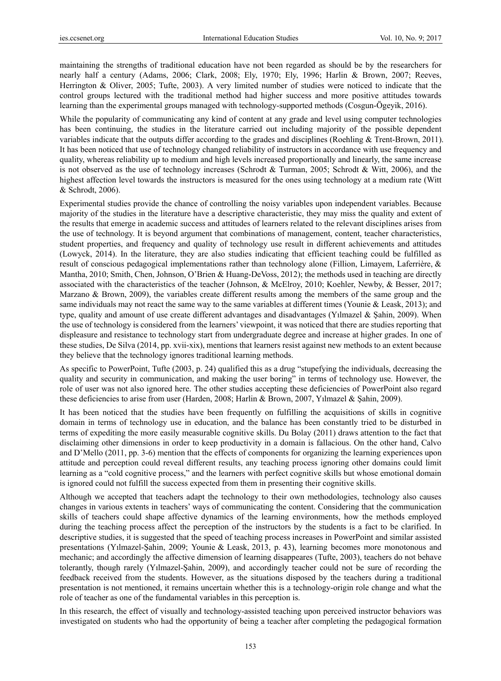maintaining the strengths of traditional education have not been regarded as should be by the researchers for nearly half a century (Adams, 2006; Clark, 2008; Ely, 1970; Ely, 1996; Harlin & Brown, 2007; Reeves, Herrington & Oliver, 2005; Tufte, 2003). A very limited number of studies were noticed to indicate that the control groups lectured with the traditional method had higher success and more positive attitudes towards learning than the experimental groups managed with technology-supported methods (Cosgun-Ögeyik, 2016).

While the popularity of communicating any kind of content at any grade and level using computer technologies has been continuing, the studies in the literature carried out including majority of the possible dependent variables indicate that the outputs differ according to the grades and disciplines (Roehling & Trent-Brown, 2011). It has been noticed that use of technology changed reliability of instructors in accordance with use frequency and quality, whereas reliability up to medium and high levels increased proportionally and linearly, the same increase is not observed as the use of technology increases (Schrodt & Turman, 2005; Schrodt & Witt, 2006), and the highest affection level towards the instructors is measured for the ones using technology at a medium rate (Witt & Schrodt, 2006).

Experimental studies provide the chance of controlling the noisy variables upon independent variables. Because majority of the studies in the literature have a descriptive characteristic, they may miss the quality and extent of the results that emerge in academic success and attitudes of learners related to the relevant disciplines arises from the use of technology. It is beyond argument that combinations of management, content, teacher characteristics, student properties, and frequency and quality of technology use result in different achievements and attitudes (Lowyck, 2014). In the literature, they are also studies indicating that efficient teaching could be fulfilled as result of conscious pedagogical implementations rather than technology alone (Fillion, Limayem, Laferrière, & Mantha, 2010; Smith, Chen, Johnson, O'Brien & Huang-DeVoss, 2012); the methods used in teaching are directly associated with the characteristics of the teacher (Johnson, & McElroy, 2010; Koehler, Newby, & Besser, 2017; Marzano  $\&$  Brown, 2009), the variables create different results among the members of the same group and the same individuals may not react the same way to the same variables at different times (Younie & Leask, 2013); and type, quality and amount of use create different advantages and disadvantages (Yılmazel & Şahin, 2009). When the use of technology is considered from the learners' viewpoint, it was noticed that there are studies reporting that displeasure and resistance to technology start from undergraduate degree and increase at higher grades. In one of these studies, De Silva (2014, pp. xvii-xix), mentions that learners resist against new methods to an extent because they believe that the technology ignores traditional learning methods.

As specific to PowerPoint, Tufte (2003, p. 24) qualified this as a drug "stupefying the individuals, decreasing the quality and security in communication, and making the user boring" in terms of technology use. However, the role of user was not also ignored here. The other studies accepting these deficiencies of PowerPoint also regard these deficiencies to arise from user (Harden, 2008; Harlin & Brown, 2007, Yılmazel & Şahin, 2009).

It has been noticed that the studies have been frequently on fulfilling the acquisitions of skills in cognitive domain in terms of technology use in education, and the balance has been constantly tried to be disturbed in terms of expediting the more easily measurable cognitive skills. Du Bolay (2011) draws attention to the fact that disclaiming other dimensions in order to keep productivity in a domain is fallacious. On the other hand, Calvo and D'Mello (2011, pp. 3-6) mention that the effects of components for organizing the learning experiences upon attitude and perception could reveal different results, any teaching process ignoring other domains could limit learning as a "cold cognitive process," and the learners with perfect cognitive skills but whose emotional domain is ignored could not fulfill the success expected from them in presenting their cognitive skills.

Although we accepted that teachers adapt the technology to their own methodologies, technology also causes changes in various extents in teachers' ways of communicating the content. Considering that the communication skills of teachers could shape affective dynamics of the learning environments, how the methods employed during the teaching process affect the perception of the instructors by the students is a fact to be clarified. In descriptive studies, it is suggested that the speed of teaching process increases in PowerPoint and similar assisted presentations (Yılmazel-Şahin, 2009; Younie & Leask, 2013, p. 43), learning becomes more monotonous and mechanic; and accordingly the affective dimension of learning disappeares (Tufte, 2003), teachers do not behave tolerantly, though rarely (Yılmazel-Şahin, 2009), and accordingly teacher could not be sure of recording the feedback received from the students. However, as the situations disposed by the teachers during a traditional presentation is not mentioned, it remains uncertain whether this is a technology-origin role change and what the role of teacher as one of the fundamental variables in this perception is.

In this research, the effect of visually and technology-assisted teaching upon perceived instructor behaviors was investigated on students who had the opportunity of being a teacher after completing the pedagogical formation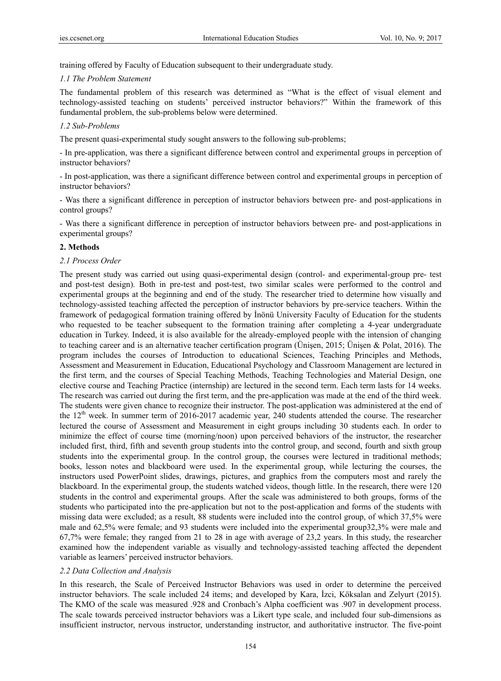training offered by Faculty of Education subsequent to their undergraduate study.

#### *1.1 The Problem Statement*

The fundamental problem of this research was determined as "What is the effect of visual element and technology-assisted teaching on students' perceived instructor behaviors?" Within the framework of this fundamental problem, the sub-problems below were determined.

## *1.2 Sub-Problems*

The present quasi-experimental study sought answers to the following sub-problems;

- In pre-application, was there a significant difference between control and experimental groups in perception of instructor behaviors?

- In post-application, was there a significant difference between control and experimental groups in perception of instructor behaviors?

- Was there a significant difference in perception of instructor behaviors between pre- and post-applications in control groups?

- Was there a significant difference in perception of instructor behaviors between pre- and post-applications in experimental groups?

## **2. Methods**

## *2.1 Process Order*

The present study was carried out using quasi-experimental design (control- and experimental-group pre- test and post-test design). Both in pre-test and post-test, two similar scales were performed to the control and experimental groups at the beginning and end of the study. The researcher tried to determine how visually and technology-assisted teaching affected the perception of instructor behaviors by pre-service teachers. Within the framework of pedagogical formation training offered by İnönü University Faculty of Education for the students who requested to be teacher subsequent to the formation training after completing a 4-year undergraduate education in Turkey. Indeed, it is also available for the already-employed people with the intension of changing to teaching career and is an alternative teacher certification program (Ünişen, 2015; Ünişen & Polat, 2016). The program includes the courses of Introduction to educational Sciences, Teaching Principles and Methods, Assessment and Measurement in Education, Educational Psychology and Classroom Management are lectured in the first term, and the courses of Special Teaching Methods, Teaching Technologies and Material Design, one elective course and Teaching Practice (internship) are lectured in the second term. Each term lasts for 14 weeks. The research was carried out during the first term, and the pre-application was made at the end of the third week. The students were given chance to recognize their instructor. The post-application was administered at the end of the  $12<sup>th</sup>$  week. In summer term of 2016-2017 academic year, 240 students attended the course. The researcher lectured the course of Assessment and Measurement in eight groups including 30 students each. In order to minimize the effect of course time (morning/noon) upon perceived behaviors of the instructor, the researcher included first, third, fifth and seventh group students into the control group, and second, fourth and sixth group students into the experimental group. In the control group, the courses were lectured in traditional methods; books, lesson notes and blackboard were used. In the experimental group, while lecturing the courses, the instructors used PowerPoint slides, drawings, pictures, and graphics from the computers most and rarely the blackboard. In the experimental group, the students watched videos, though little. In the research, there were 120 students in the control and experimental groups. After the scale was administered to both groups, forms of the students who participated into the pre-application but not to the post-application and forms of the students with missing data were excluded; as a result, 88 students were included into the control group, of which 37,5% were male and 62,5% were female; and 93 students were included into the experimental group32,3% were male and 67,7% were female; they ranged from 21 to 28 in age with average of 23,2 years. In this study, the researcher examined how the independent variable as visually and technology-assisted teaching affected the dependent variable as learners' perceived instructor behaviors.

## *2.2 Data Collection and Analysis*

In this research, the Scale of Perceived Instructor Behaviors was used in order to determine the perceived instructor behaviors. The scale included 24 items; and developed by Kara, İzci, Köksalan and Zelyurt (2015). The KMO of the scale was measured .928 and Cronbach's Alpha coefficient was .907 in development process. The scale towards perceived instructor behaviors was a Likert type scale, and included four sub-dimensions as insufficient instructor, nervous instructor, understanding instructor, and authoritative instructor. The five-point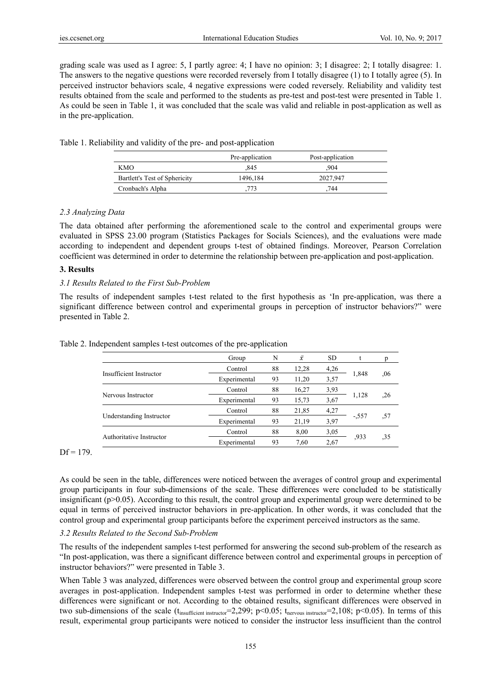grading scale was used as I agree: 5, I partly agree: 4; I have no opinion: 3; I disagree: 2; I totally disagree: 1. The answers to the negative questions were recorded reversely from I totally disagree (1) to I totally agree (5). In perceived instructor behaviors scale, 4 negative expressions were coded reversely. Reliability and validity test results obtained from the scale and performed to the students as pre-test and post-test were presented in Table 1. As could be seen in Table 1, it was concluded that the scale was valid and reliable in post-application as well as in the pre-application.

Table 1. Reliability and validity of the pre- and post-application

|                               | Pre-application | Post-application |  |
|-------------------------------|-----------------|------------------|--|
| KMO                           | .845            | 904              |  |
| Bartlett's Test of Sphericity | 1496.184        | 2027.947         |  |
| Cronbach's Alpha              | 773             | 744              |  |

## *2.3 Analyzing Data*

The data obtained after performing the aforementioned scale to the control and experimental groups were evaluated in SPSS 23.00 program (Statistics Packages for Socials Sciences), and the evaluations were made according to independent and dependent groups t-test of obtained findings. Moreover, Pearson Correlation coefficient was determined in order to determine the relationship between pre-application and post-application.

## **3. Results**

## *3.1 Results Related to the First Sub-Problem*

The results of independent samples t-test related to the first hypothesis as 'In pre-application, was there a significant difference between control and experimental groups in perception of instructor behaviors?" were presented in Table 2.

|                          | Group        | N  | $\bar{x}$ | <b>SD</b> |         | p   |
|--------------------------|--------------|----|-----------|-----------|---------|-----|
|                          | Control      | 88 | 12,28     | 4,26      |         |     |
| Insufficient Instructor  | Experimental | 93 | 11,20     | 3,57      | 1,848   | ,06 |
|                          | Control      | 88 | 16,27     | 3,93      |         |     |
| Nervous Instructor       | Experimental | 93 | 15,73     | 3,67      | 1,128   | ,26 |
|                          | Control      | 88 | 21,85     | 4,27      |         |     |
| Understanding Instructor | Experimental | 93 | 21,19     | 3,97      | $-.557$ | .57 |
|                          | Control      | 88 | 8,00      | 3,05      |         |     |
| Authoritative Instructor | Experimental | 93 | 7,60      | 2,67      | .933    | .35 |

Table 2. Independent samples t-test outcomes of the pre-application

 $Df = 179$ .

As could be seen in the table, differences were noticed between the averages of control group and experimental group participants in four sub-dimensions of the scale. These differences were concluded to be statistically insignificant ( $p>0.05$ ). According to this result, the control group and experimental group were determined to be equal in terms of perceived instructor behaviors in pre-application. In other words, it was concluded that the control group and experimental group participants before the experiment perceived instructors as the same.

## *3.2 Results Related to the Second Sub-Problem*

The results of the independent samples t-test performed for answering the second sub-problem of the research as "In post-application, was there a significant difference between control and experimental groups in perception of instructor behaviors?" were presented in Table 3.

When Table 3 was analyzed, differences were observed between the control group and experimental group score averages in post-application. Independent samples t-test was performed in order to determine whether these differences were significant or not. According to the obtained results, significant differences were observed in two sub-dimensions of the scale  $(t_{insufficient\,instructor}=2,299; p<0.05; t_{nervous\,instructor}=2,108; p<0.05)$ . In terms of this result, experimental group participants were noticed to consider the instructor less insufficient than the control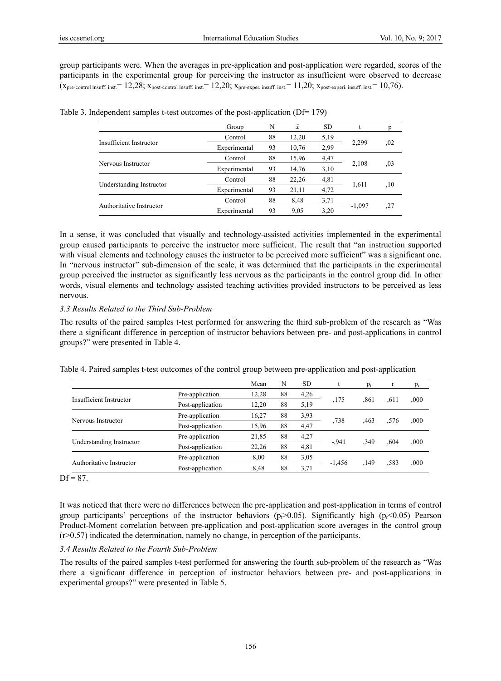group participants were. When the averages in pre-application and post-application were regarded, scores of the participants in the experimental group for perceiving the instructor as insufficient were observed to decrease  $(x_{\text{pre-control insight}})$  inst.<sup> $= 12,28$ ;  $x_{\text{post-control insight}}$  inst.<sup> $= 12,20$ </sup>;  $x_{\text{pre-exper. insight}}$  inst.<sup> $= 11,20$ </sup>;  $x_{\text{post-experi. insuffix}} = 10,76$ ).</sup>

|                          | Group        | N  | $\bar{x}$ | <b>SD</b> |          |     |
|--------------------------|--------------|----|-----------|-----------|----------|-----|
|                          | Control      | 88 | 12,20     | 5,19      |          |     |
| Insufficient Instructor  | Experimental | 93 | 10.76     | 2,99      | 2,299    | ,02 |
|                          | Control      | 88 | 15,96     | 4,47      |          |     |
| Nervous Instructor       | Experimental | 93 | 14,76     | 3,10      | 2,108    | .03 |
|                          | Control      | 88 | 22,26     | 4,81      |          |     |
| Understanding Instructor | Experimental | 93 | 21,11     | 4,72      | 1,611    | .10 |
|                          | Control      | 88 | 8,48      | 3,71      |          |     |
| Authoritative Instructor | Experimental | 93 | 9,05      | 3,20      | $-1,097$ | .27 |

Table 3. Independent samples t-test outcomes of the post-application (Df= 179)

In a sense, it was concluded that visually and technology-assisted activities implemented in the experimental group caused participants to perceive the instructor more sufficient. The result that "an instruction supported with visual elements and technology causes the instructor to be perceived more sufficient" was a significant one. In "nervous instructor" sub-dimension of the scale, it was determined that the participants in the experimental group perceived the instructor as significantly less nervous as the participants in the control group did. In other words, visual elements and technology assisted teaching activities provided instructors to be perceived as less nervous.

#### *3.3 Results Related to the Third Sub-Problem*

The results of the paired samples t-test performed for answering the third sub-problem of the research as "Was there a significant difference in perception of instructor behaviors between pre- and post-applications in control groups?" were presented in Table 4.

|  |  |  | Table 4. Paired samples t-test outcomes of the control group between pre-application and post-application |
|--|--|--|-----------------------------------------------------------------------------------------------------------|
|  |  |  |                                                                                                           |

|                          |                  | Mean  | N  | <b>SD</b> |          | $p_{t}$ |      | $p_{r}$ |
|--------------------------|------------------|-------|----|-----------|----------|---------|------|---------|
|                          | Pre-application  | 12.28 | 88 | 4,26      |          |         |      |         |
| Insufficient Instructor  | Post-application | 12.20 | 88 | 5,19      | ,175     | .861    | .611 | ,000    |
|                          | Pre-application  | 16,27 | 88 | 3,93      |          |         |      |         |
| Nervous Instructor       | Post-application | 15,96 | 88 | 4,47      | .738     | .463    | .576 | ,000    |
|                          | Pre-application  | 21,85 | 88 | 4,27      |          |         | .604 | ,000    |
| Understanding Instructor | Post-application | 22,26 | 88 | 4,81      | $-941$   | ,349    |      |         |
|                          | Pre-application  | 8,00  | 88 | 3,05      |          |         | .583 |         |
| Authoritative Instructor | Post-application | 8.48  | 88 | 3,71      | $-1,456$ | ,149    |      | ,000    |

 $Df = 87.$ 

It was noticed that there were no differences between the pre-application and post-application in terms of control group participants' perceptions of the instructor behaviors ( $p_1 > 0.05$ ). Significantly high ( $p_r < 0.05$ ) Pearson Product-Moment correlation between pre-application and post-application score averages in the control group (r>0.57) indicated the determination, namely no change, in perception of the participants.

#### *3.4 Results Related to the Fourth Sub-Problem*

The results of the paired samples t-test performed for answering the fourth sub-problem of the research as "Was there a significant difference in perception of instructor behaviors between pre- and post-applications in experimental groups?" were presented in Table 5.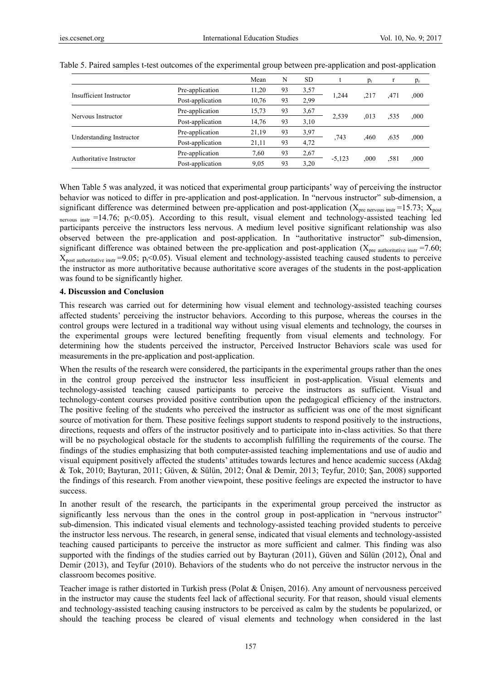|                          |                  | Mean  | N  | SD.  |          | $p_t$ | r    | $p_{r}$ |
|--------------------------|------------------|-------|----|------|----------|-------|------|---------|
|                          | Pre-application  | 11,20 | 93 | 3,57 |          |       |      |         |
| Insufficient Instructor  | Post-application | 10,76 | 93 | 2,99 | 1.244    | ,217  | .471 | ,000    |
|                          | Pre-application  | 15,73 | 93 | 3,67 |          |       |      |         |
| Nervous Instructor       | Post-application | 14,76 | 93 | 3,10 | 2,539    | .013  | .535 | ,000    |
|                          | Pre-application  | 21,19 | 93 | 3,97 |          |       | .635 | ,000    |
| Understanding Instructor | Post-application | 21.11 | 93 | 4,72 | .743     | .460  |      |         |
|                          | Pre-application  | 7,60  | 93 | 2,67 |          | .000  | .581 |         |
| Authoritative Instructor | Post-application | 9.05  | 93 | 3,20 | $-5,123$ |       |      | ,000    |

|  |  |  |  | Table 5. Paired samples t-test outcomes of the experimental group between pre-application and post-application |  |
|--|--|--|--|----------------------------------------------------------------------------------------------------------------|--|
|  |  |  |  |                                                                                                                |  |

When Table 5 was analyzed, it was noticed that experimental group participants' way of perceiving the instructor behavior was noticed to differ in pre-application and post-application. In "nervous instructor" sub-dimension, a significant difference was determined between pre-application and post-application ( $X_{pre}$  nervous instr =15.73;  $X_{post}$ nervous instr =14.76;  $p_t$ <0.05). According to this result, visual element and technology-assisted teaching led participants perceive the instructors less nervous. A medium level positive significant relationship was also observed between the pre-application and post-application. In "authoritative instructor" sub-dimension, significant difference was obtained between the pre-application and post-application ( $X_{pre}$  authoritative instr =7.60;  $X_{\text{post authoritative instr}} = 9.05$ ;  $p_1 \le 0.05$ ). Visual element and technology-assisted teaching caused students to perceive the instructor as more authoritative because authoritative score averages of the students in the post-application was found to be significantly higher.

#### **4. Discussion and Conclusion**

This research was carried out for determining how visual element and technology-assisted teaching courses affected students' perceiving the instructor behaviors. According to this purpose, whereas the courses in the control groups were lectured in a traditional way without using visual elements and technology, the courses in the experimental groups were lectured benefiting frequently from visual elements and technology. For determining how the students perceived the instructor, Perceived Instructor Behaviors scale was used for measurements in the pre-application and post-application.

When the results of the research were considered, the participants in the experimental groups rather than the ones in the control group perceived the instructor less insufficient in post-application. Visual elements and technology-assisted teaching caused participants to perceive the instructors as sufficient. Visual and technology-content courses provided positive contribution upon the pedagogical efficiency of the instructors. The positive feeling of the students who perceived the instructor as sufficient was one of the most significant source of motivation for them. These positive feelings support students to respond positively to the instructions, directions, requests and offers of the instructor positively and to participate into in-class activities. So that there will be no psychological obstacle for the students to accomplish fulfilling the requirements of the course. The findings of the studies emphasizing that both computer-assisted teaching implementations and use of audio and visual equipment positively affected the students' attitudes towards lectures and hence academic success (Akdağ & Tok, 2010; Bayturan, 2011; Güven, & Sülün, 2012; Önal & Demir, 2013; Teyfur, 2010; Şan, 2008) supported the findings of this research. From another viewpoint, these positive feelings are expected the instructor to have success.

In another result of the research, the participants in the experimental group perceived the instructor as significantly less nervous than the ones in the control group in post-application in "nervous instructor" sub-dimension. This indicated visual elements and technology-assisted teaching provided students to perceive the instructor less nervous. The research, in general sense, indicated that visual elements and technology-assisted teaching caused participants to perceive the instructor as more sufficient and calmer. This finding was also supported with the findings of the studies carried out by Bayturan (2011), Güven and Sülün (2012), Önal and Demir (2013), and Teyfur (2010). Behaviors of the students who do not perceive the instructor nervous in the classroom becomes positive.

Teacher image is rather distorted in Turkish press (Polat & Ünişen, 2016). Any amount of nervousness perceived in the instructor may cause the students feel lack of affectional security. For that reason, should visual elements and technology-assisted teaching causing instructors to be perceived as calm by the students be popularized, or should the teaching process be cleared of visual elements and technology when considered in the last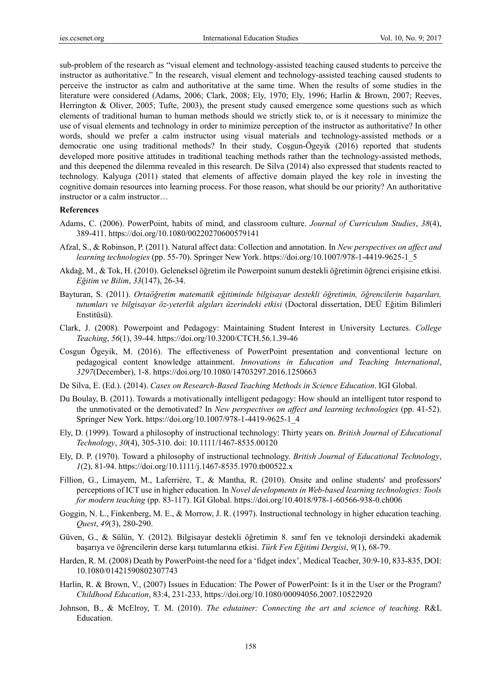sub-problem of the research as "visual element and technology-assisted teaching caused students to perceive the instructor as authoritative." In the research, visual element and technology-assisted teaching caused students to perceive the instructor as calm and authoritative at the same time. When the results of some studies in the literature were considered (Adams, 2006; Clark, 2008; Ely, 1970; Ely, 1996; Harlin & Brown, 2007; Reeves, Herrington & Oliver, 2005; Tufte, 2003), the present study caused emergence some questions such as which elements of traditional human to human methods should we strictly stick to, or is it necessary to minimize the use of visual elements and technology in order to minimize perception of the instructor as authoritative? In other words, should we prefer a calm instructor using visual materials and technology-assisted methods or a democratic one using traditional methods? In their study, Coşgun-Ögeyik (2016) reported that students developed more positive attitudes in traditional teaching methods rather than the technology-assisted methods, and this deepened the dilemma revealed in this research. De Silva (2014) also expressed that students reacted to technology. Kalyuga (2011) stated that elements of affective domain played the key role in investing the cognitive domain resources into learning process. For those reason, what should be our priority? An authoritative instructor or a calm instructor…

#### **References**

- Adams, C. (2006). PowerPoint, habits of mind, and classroom culture. *Journal of Curriculum Studies*, *38*(4), 389-411. https://doi.org/10.1080/00220270600579141
- Afzal, S., & Robinson, P. (2011). Natural affect data: Collection and annotation. In *New perspectives on affect and learning technologies* (pp. 55-70). Springer New York. https://doi.org/10.1007/978-1-4419-9625-1\_5
- Akdağ, M., & Tok, H. (2010). Geleneksel öğretim ile Powerpoint sunum destekli öğretimin öğrenci erişisine etkisi. *Eğitim ve Bilim*, *33*(147), 26-34.
- Bayturan, S. (2011). *Ortaöğretim matematik eğitiminde bilgisayar destekli öğretimin, öğrencilerin başarıları, tutumları ve bilgisayar öz-yeterlik algıları üzerindeki etkisi* (Doctoral dissertation, DEÜ Eğitim Bilimleri Enstitüsü).
- Clark, J. (2008). Powerpoint and Pedagogy: Maintaining Student Interest in University Lectures. *College Teaching*, *56*(1), 39-44. https://doi.org/10.3200/CTCH.56.1.39-46
- Cosgun Ögeyik, M. (2016). The effectiveness of PowerPoint presentation and conventional lecture on pedagogical content knowledge attainment. *Innovations in Education and Teaching International*, *3297*(December), 1-8. https://doi.org/10.1080/14703297.2016.1250663
- De Silva, E. (Ed.). (2014). *Cases on Research-Based Teaching Methods in Science Education*. IGI Global.
- Du Boulay, B. (2011). Towards a motivationally intelligent pedagogy: How should an intelligent tutor respond to the unmotivated or the demotivated? In *New perspectives on affect and learning technologies* (pp. 41-52). Springer New York. https://doi.org/10.1007/978-1-4419-9625-1\_4
- Ely, D. (1999). Toward a philosophy of instructional technology: Thirty years on. *British Journal of Educational Technology*, *30*(4), 305-310. doi: 10.1111/1467-8535.00120
- Ely, D. P. (1970). Toward a philosophy of instructional technology. *British Journal of Educational Technology*, *1*(2), 81-94. https://doi.org/10.1111/j.1467-8535.1970.tb00522.x
- Fillion, G., Limayem, M., Laferrière, T., & Mantha, R. (2010). Onsite and online students' and professors' perceptions of ICT use in higher education. In *Novel developments in Web-based learning technologies: Tools for modern teaching* (pp. 83-117). IGI Global. https://doi.org/10.4018/978-1-60566-938-0.ch006
- Goggin, N. L., Finkenberg, M. E., & Morrow, J. R. (1997). Instructional technology in higher education teaching. *Quest*, *49*(3), 280-290.
- Güven, G., & Sülün, Y. (2012). Bilgisayar destekli öğretimin 8. sınıf fen ve teknoloji dersindeki akademik başarıya ve öğrencilerin derse karşı tutumlarına etkisi. *Türk Fen Eğitimi Dergisi*, *9*(1), 68-79.
- Harden, R. M. (2008) Death by PowerPoint-the need for a 'fidget index', Medical Teacher, 30:9-10, 833-835, DOI: 10.1080/01421590802307743
- Harlin, R. & Brown, V., (2007) Issues in Education: The Power of PowerPoint: Is it in the User or the Program? *Childhood Education*, 83:4, 231-233, https://doi.org/10.1080/00094056.2007.10522920
- Johnson, B., & McElroy, T. M. (2010). *The edutainer: Connecting the art and science of teaching*. R&L Education.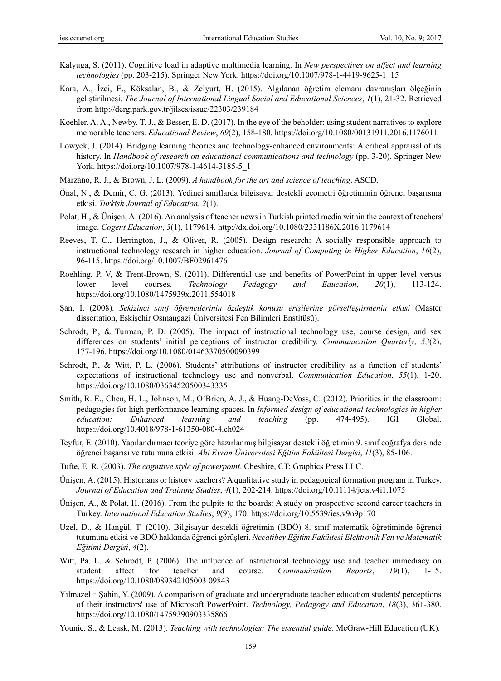- Kalyuga, S. (2011). Cognitive load in adaptive multimedia learning. In *New perspectives on affect and learning technologies* (pp. 203-215). Springer New York. https://doi.org/10.1007/978-1-4419-9625-1\_15
- Kara, A., İzci, E., Köksalan, B., & Zelyurt, H. (2015). Algılanan öğretim elemanı davranışları ölçeğinin geliştirilmesi. *The Journal of International Lingual Social and Educational Sciences*, *1*(1), 21-32. Retrieved from http://dergipark.gov.tr/jilses/issue/22303/239184
- Koehler, A. A., Newby, T. J., & Besser, E. D. (2017). In the eye of the beholder: using student narratives to explore memorable teachers. *Educational Review*, *69*(2), 158-180. https://doi.org/10.1080/00131911.2016.1176011
- Lowyck, J. (2014). Bridging learning theories and technology-enhanced environments: A critical appraisal of its history. In *Handbook of research on educational communications and technology* (pp. 3-20). Springer New York. https://doi.org/10.1007/978-1-4614-3185-5\_1
- Marzano, R. J., & Brown, J. L. (2009). *A handbook for the art and science of teaching*. ASCD.
- Önal, N., & Demir, C. G. (2013). Yedinci sınıflarda bilgisayar destekli geometri öğretiminin öğrenci başarısına etkisi. *Turkish Journal of Education*, *2*(1).
- Polat, H., & Ünişen, A. (2016). An analysis of teacher news in Turkish printed media within the context of teachers' image. *Cogent Education*, *3*(1), 1179614. http://dx.doi.org/10.1080/2331186X.2016.1179614
- Reeves, T. C., Herrington, J., & Oliver, R. (2005). Design research: A socially responsible approach to instructional technology research in higher education. *Journal of Computing in Higher Education*, *16*(2), 96-115. https://doi.org/10.1007/BF02961476
- Roehling, P. V, & Trent-Brown, S. (2011). Differential use and benefits of PowerPoint in upper level versus lower level courses. *Technology Pedagogy and Education*, *20*(1), 113-124. https://doi.org/10.1080/1475939x.2011.554018
- Şan, İ. (2008). *Sekizinci sınıf öğrencilerinin özdeşlik konusu erişilerine görselleştirmenin etkisi* (Master dissertation, Eskişehir Osmangazi Üniversitesi Fen Bilimleri Enstitüsü).
- Schrodt, P., & Turman, P. D. (2005). The impact of instructional technology use, course design, and sex differences on students' initial perceptions of instructor credibility. *Communication Quarterly*, *53*(2), 177-196. https://doi.org/10.1080/01463370500090399
- Schrodt, P., & Witt, P. L. (2006). Students' attributions of instructor credibility as a function of students' expectations of instructional technology use and nonverbal. *Communication Education*, *55*(1), 1-20. https://doi.org/10.1080/03634520500343335
- Smith, R. E., Chen, H. L., Johnson, M., O'Brien, A. J., & Huang-DeVoss, C. (2012). Priorities in the classroom: pedagogies for high performance learning spaces. In *Informed design of educational technologies in higher education: Enhanced learning and teaching* (pp. 474-495). IGI Global. https://doi.org/10.4018/978-1-61350-080-4.ch024
- Teyfur, E. (2010). Yapılandırmacı teoriye göre hazırlanmış bilgisayar destekli öğretimin 9. sınıf coğrafya dersinde öğrenci başarısı ve tutumuna etkisi. *Ahi Evran Üniversitesi Eğitim Fakültesi Dergisi*, *11*(3), 85-106.
- Tufte, E. R. (2003). *The cognitive style of powerpoint*. Cheshire, CT: Graphics Press LLC.
- Ünişen, A. (2015). Historians or history teachers? A qualitative study in pedagogical formation program in Turkey. *Journal of Education and Training Studies*, *4*(1), 202-214. https://doi.org/10.11114/jets.v4i1.1075
- Ünişen, A., & Polat, H. (2016). From the pulpits to the boards: A study on prospective second career teachers in Turkey. *International Education Studies*, *9*(9), 170. https://doi.org/10.5539/ies.v9n9p170
- Uzel, D., & Hangül, T. (2010). Bilgisayar destekli öğretimin (BDÖ) 8. sınıf matematik öğretiminde öğrenci tutumuna etkisi ve BDÖ hakkında öğrenci görüşleri. *Necatibey Eğitim Fakültesi Elektronik Fen ve Matematik Eğitimi Dergisi*, *4*(2).
- Witt, Pa. L. & Schrodt, P. (2006). The influence of instructional technology use and teacher immediacy on student affect for teacher and course. *Communication Reports*, *19*(1), 1-15. https://doi.org/10.1080/089342105003 09843
- Yilmazel Sahin, Y. (2009). A comparison of graduate and undergraduate teacher education students' perceptions of their instructors' use of Microsoft PowerPoint. *Technology, Pedagogy and Education*, *18*(3), 361-380. https://doi.org/10.1080/14759390903335866
- Younie, S., & Leask, M. (2013). *Teaching with technologies: The essential guide*. McGraw-Hill Education (UK).